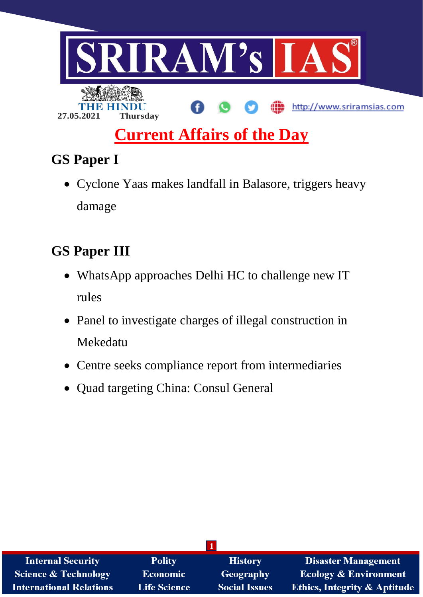

# **GS Paper I**

 Cyclone Yaas makes landfall in Balasore, triggers heavy damage

## **GS Paper III**

- WhatsApp approaches Delhi HC to challenge new IT rules
- Panel to investigate charges of illegal construction in Mekedatu
- Centre seeks compliance report from intermediaries
- Quad targeting China: Consul General

| <b>Internal Security</b>        | <b>Polity</b>       | <b>History</b>       | Disaster Management                     |
|---------------------------------|---------------------|----------------------|-----------------------------------------|
| <b>Science &amp; Technology</b> | Economic            | <b>Geography</b>     | <b>Ecology &amp; Environment</b>        |
| <b>International Relations</b>  | <b>Life Science</b> | <b>Social Issues</b> | <b>Ethics, Integrity &amp; Aptitude</b> |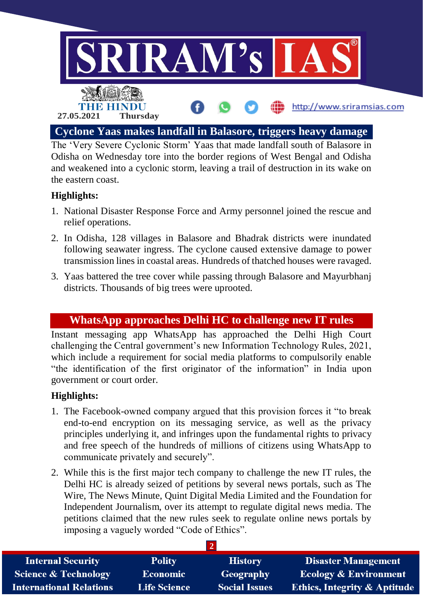

The 'Very Severe Cyclonic Storm' Yaas that made landfall south of Balasore in Odisha on Wednesday tore into the border regions of West Bengal and Odisha and weakened into a cyclonic storm, leaving a trail of destruction in its wake on the eastern coast.

## **Highlights:**

- 1. National Disaster Response Force and Army personnel joined the rescue and relief operations.
- 2. In Odisha, 128 villages in Balasore and Bhadrak districts were inundated following seawater ingress. The cyclone caused extensive damage to power transmission lines in coastal areas. Hundreds of thatched houses were ravaged.
- 3. Yaas battered the tree cover while passing through Balasore and Mayurbhanj districts. Thousands of big trees were uprooted.

## **WhatsApp approaches Delhi HC to challenge new IT rules**

Instant messaging app WhatsApp has approached the Delhi High Court challenging the Central government's new Information Technology Rules, 2021, which include a requirement for social media platforms to compulsorily enable "the identification of the first originator of the information" in India upon government or court order.

## **Highlights:**

- 1. The Facebook-owned company argued that this provision forces it "to break end-to-end encryption on its messaging service, as well as the privacy principles underlying it, and infringes upon the fundamental rights to privacy and free speech of the hundreds of millions of citizens using WhatsApp to communicate privately and securely".
- 2. While this is the first major tech company to challenge the new IT rules, the Delhi HC is already seized of petitions by several news portals, such as The Wire, The News Minute, Quint Digital Media Limited and the Foundation for Independent Journalism, over its attempt to regulate digital news media. The petitions claimed that the new rules seek to regulate online news portals by imposing a vaguely worded "Code of Ethics".

| <b>Internal Security</b>        | <b>Polity</b>       | <b>History</b>       | <b>Disaster Management</b>              |
|---------------------------------|---------------------|----------------------|-----------------------------------------|
| <b>Science &amp; Technology</b> | <b>Economic</b>     | Geography            | <b>Ecology &amp; Environment</b>        |
| <b>International Relations</b>  | <b>Life Science</b> | <b>Social Issues</b> | <b>Ethics, Integrity &amp; Aptitude</b> |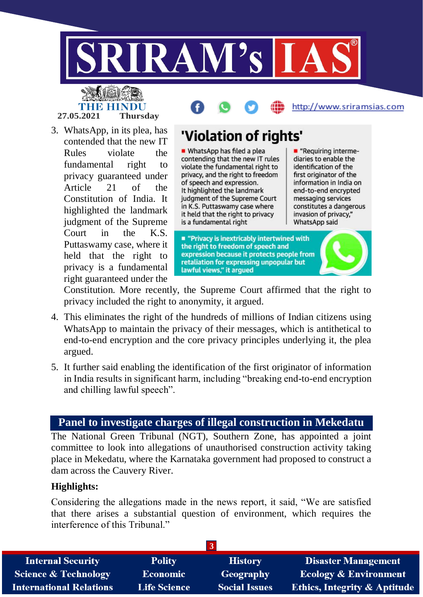

IHB HIN **27.05.2021 Thursday**



3. WhatsApp, in its plea, has contended that the new IT Rules violate the fundamental right to privacy guaranteed under Article 21 of the Constitution of India. It highlighted the landmark judgment of the Supreme Court in the K.S. Puttaswamy case, where it held that the right to privacy is a fundamental right guaranteed under the

# 'Violation of rights'

• WhatsApp has filed a plea contending that the new IT rules violate the fundamental right to privacy, and the right to freedom of speech and expression. It highlighted the landmark judgment of the Supreme Court in K.S. Puttaswamy case where it held that the right to privacy is a fundamental right

- "Requiring intermediaries to enable the identification of the first originator of the information in India on end-to-end encrypted messaging services constitutes a dangerous invasion of privacy," WhatsApp said

■ "Privacy is inextricably intertwined with the right to freedom of speech and expression because it protects people from retaliation for expressing unpopular but lawful views," it argued

Constitution. More recently, the Supreme Court affirmed that the right to privacy included the right to anonymity, it argued.

- 4. This eliminates the right of the hundreds of millions of Indian citizens using WhatsApp to maintain the privacy of their messages, which is antithetical to end-to-end encryption and the core privacy principles underlying it, the plea argued.
- 5. It further said enabling the identification of the first originator of information in India results in significant harm, including "breaking end-to-end encryption and chilling lawful speech".

## **Panel to investigate charges of illegal construction in Mekedatu**

The National Green Tribunal (NGT), Southern Zone, has appointed a joint committee to look into allegations of unauthorised construction activity taking place in Mekedatu, where the Karnataka government had proposed to construct a dam across the Cauvery River.

## **Highlights:**

Considering the allegations made in the news report, it said, "We are satisfied that there arises a substantial question of environment, which requires the interference of this Tribunal."

| <b>Internal Security</b>        | <b>Polity</b>       | <b>History</b>       | <b>Disaster Management</b>              |
|---------------------------------|---------------------|----------------------|-----------------------------------------|
| <b>Science &amp; Technology</b> | <b>Economic</b>     | Geography            | <b>Ecology &amp; Environment</b>        |
| <b>International Relations</b>  | <b>Life Science</b> | <b>Social Issues</b> | <b>Ethics, Integrity &amp; Aptitude</b> |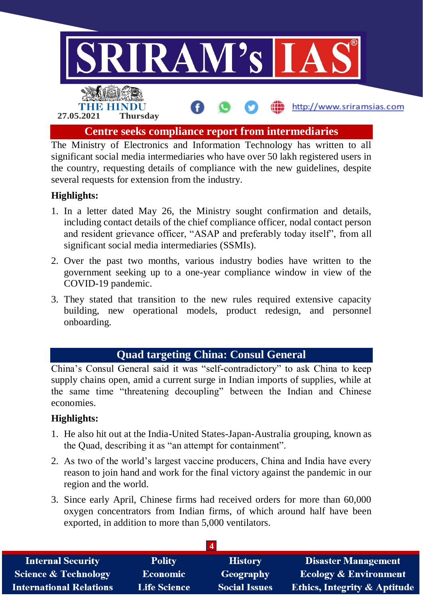

The Ministry of Electronics and Information Technology has written to all significant social media intermediaries who have over 50 lakh registered users in the country, requesting details of compliance with the new guidelines, despite several requests for extension from the industry.

## **Highlights:**

- 1. In a letter dated May 26, the Ministry sought confirmation and details, including contact details of the chief compliance officer, nodal contact person and resident grievance officer, "ASAP and preferably today itself", from all significant social media intermediaries (SSMIs).
- 2. Over the past two months, various industry bodies have written to the government seeking up to a one-year compliance window in view of the COVID-19 pandemic.
- 3. They stated that transition to the new rules required extensive capacity building, new operational models, product redesign, and personnel onboarding.

## **Quad targeting China: Consul General**

China's Consul General said it was "self-contradictory" to ask China to keep supply chains open, amid a current surge in Indian imports of supplies, while at the same time "threatening decoupling" between the Indian and Chinese economies.

#### **Highlights:**

- 1. He also hit out at the India-United States-Japan-Australia grouping, known as the Quad, describing it as "an attempt for containment".
- 2. As two of the world's largest vaccine producers, China and India have every reason to join hand and work for the final victory against the pandemic in our region and the world.
- 3. Since early April, Chinese firms had received orders for more than 60,000 oxygen concentrators from Indian firms, of which around half have been exported, in addition to more than 5,000 ventilators.

| <b>Internal Security</b>        | <b>Polity</b>       | <b>History</b>       | <b>Disaster Management</b>              |
|---------------------------------|---------------------|----------------------|-----------------------------------------|
| <b>Science &amp; Technology</b> | <b>Economic</b>     | Geography            | <b>Ecology &amp; Environment</b>        |
| <b>International Relations</b>  | <b>Life Science</b> | <b>Social Issues</b> | <b>Ethics, Integrity &amp; Aptitude</b> |